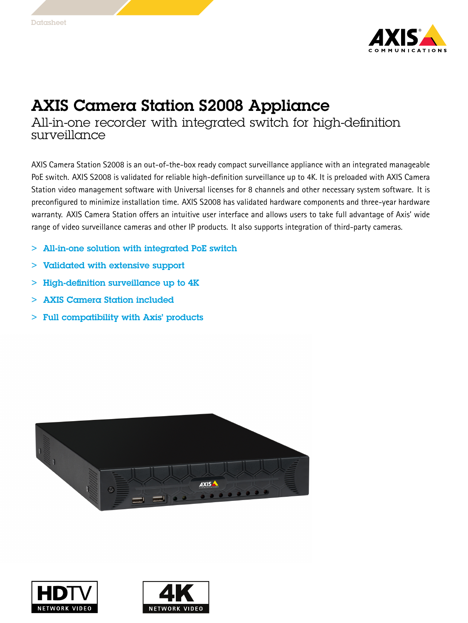

## AXIS Camera Station S2008 Appliance

All-in-one recorder with integrated switch for high-definition surveillance

AXIS Camera Station S2008 is an out-of-the-box ready compact surveillance appliance with an integrated manageable PoE switch. AXIS S2008 is validated for reliable high-definition surveillance up to 4K. It is preloaded with AXIS Camera Station video management software with Universal licenses for 8 channels and other necessary system software. It is preconfigured to minimize installation time. AXIS S2008 has validated hardware components and three-year hardware warranty. AXIS Camera Station offers an intuitive user interface and allows users to take full advantage of Axis' wide range of video surveillance cameras and other IP products. It also supports integration of third-party cameras.

- > All-in-one solution with integrated PoE switch
- > Validated with extensive support
- $>$  High-definition surveillance up to  $4K$
- > AXIS Camera Station included
- > Full compatibility with Axis' products